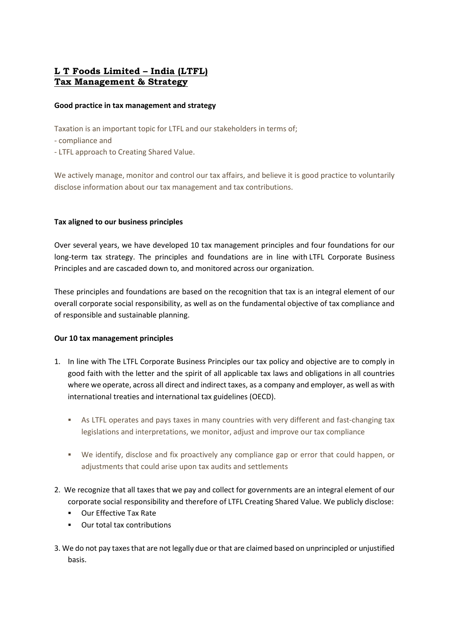# L T Foods Limited – India (LTFL) Tax Management & Strategy

### Good practice in tax management and strategy

Taxation is an important topic for LTFL and our stakeholders in terms of;

- compliance and
- LTFL approach to Creating Shared Value.

We actively manage, monitor and control our tax affairs, and believe it is good practice to voluntarily disclose information about our tax management and tax contributions.

## Tax aligned to our business principles

Over several years, we have developed 10 tax management principles and four foundations for our long-term tax strategy. The principles and foundations are in line with LTFL Corporate Business Principles and are cascaded down to, and monitored across our organization.

These principles and foundations are based on the recognition that tax is an integral element of our overall corporate social responsibility, as well as on the fundamental objective of tax compliance and of responsible and sustainable planning.

#### Our 10 tax management principles

- 1. In line with The LTFL Corporate Business Principles our tax policy and objective are to comply in good faith with the letter and the spirit of all applicable tax laws and obligations in all countries where we operate, across all direct and indirect taxes, as a company and employer, as well as with international treaties and international tax guidelines (OECD).
	- As LTFL operates and pays taxes in many countries with very different and fast-changing tax legislations and interpretations, we monitor, adjust and improve our tax compliance
	- We identify, disclose and fix proactively any compliance gap or error that could happen, or adjustments that could arise upon tax audits and settlements
- 2. We recognize that all taxes that we pay and collect for governments are an integral element of our corporate social responsibility and therefore of LTFL Creating Shared Value. We publicly disclose:
	- Our Effective Tax Rate
	- Our total tax contributions
- 3. We do not pay taxes that are not legally due or that are claimed based on unprincipled or unjustified basis.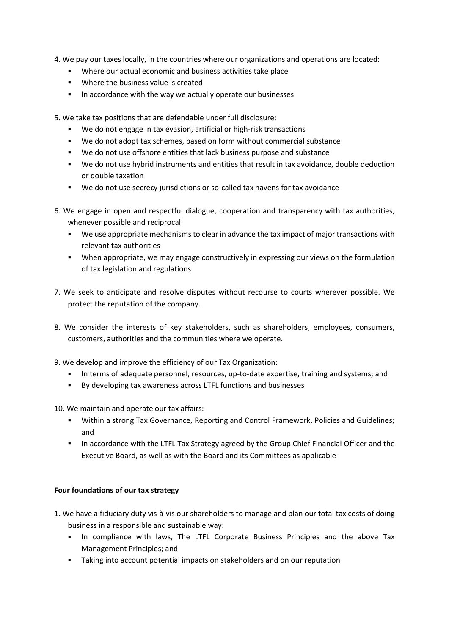- 4. We pay our taxes locally, in the countries where our organizations and operations are located:
	- Where our actual economic and business activities take place
	- **Where the business value is created**
	- **IF In accordance with the way we actually operate our businesses**

5. We take tax positions that are defendable under full disclosure:

- We do not engage in tax evasion, artificial or high-risk transactions
- We do not adopt tax schemes, based on form without commercial substance
- We do not use offshore entities that lack business purpose and substance
- We do not use hybrid instruments and entities that result in tax avoidance, double deduction or double taxation
- We do not use secrecy jurisdictions or so-called tax havens for tax avoidance
- 6. We engage in open and respectful dialogue, cooperation and transparency with tax authorities, whenever possible and reciprocal:
	- We use appropriate mechanisms to clear in advance the tax impact of major transactions with relevant tax authorities
	- When appropriate, we may engage constructively in expressing our views on the formulation of tax legislation and regulations
- 7. We seek to anticipate and resolve disputes without recourse to courts wherever possible. We protect the reputation of the company.
- 8. We consider the interests of key stakeholders, such as shareholders, employees, consumers, customers, authorities and the communities where we operate.
- 9. We develop and improve the efficiency of our Tax Organization:
	- In terms of adequate personnel, resources, up-to-date expertise, training and systems; and
	- By developing tax awareness across LTFL functions and businesses
- 10. We maintain and operate our tax affairs:
	- Within a strong Tax Governance, Reporting and Control Framework, Policies and Guidelines; and
	- In accordance with the LTFL Tax Strategy agreed by the Group Chief Financial Officer and the Executive Board, as well as with the Board and its Committees as applicable

#### Four foundations of our tax strategy

- 1. We have a fiduciary duty vis-à-vis our shareholders to manage and plan our total tax costs of doing business in a responsible and sustainable way:
	- In compliance with laws, The LTFL Corporate Business Principles and the above Tax Management Principles; and
	- Taking into account potential impacts on stakeholders and on our reputation